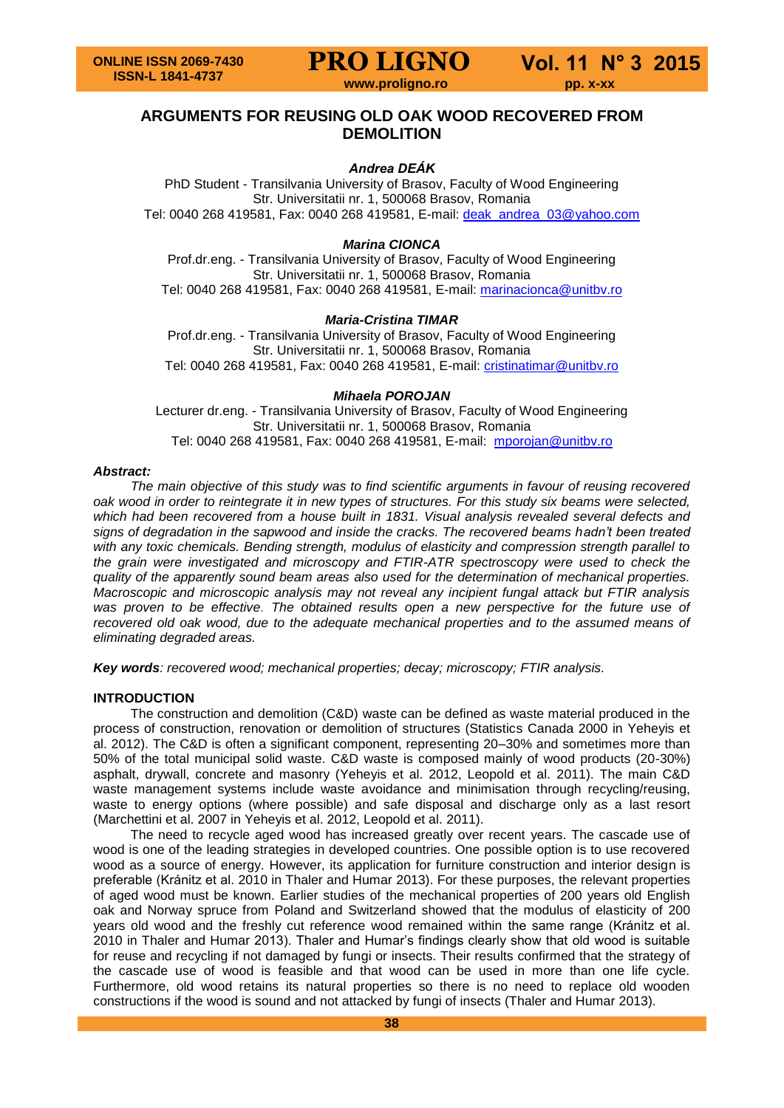**www.proligno.ro pp. x-xx**

# **ARGUMENTS FOR REUSING OLD OAK WOOD RECOVERED FROM DEMOLITION**

# *Andrea DEÁK*

PhD Student - Transilvania University of Brasov, Faculty of Wood Engineering Str. Universitatii nr. 1, 500068 Brasov, Romania Tel: 0040 268 419581, Fax: 0040 268 419581, E-mail: [deak\\_andrea\\_03@yahoo.com](mailto:deak_andrea_03@yahoo.com)

# *Marina CIONCA*

Prof.dr.eng. - Transilvania University of Brasov, Faculty of Wood Engineering Str. Universitatii nr. 1, 500068 Brasov, Romania Tel: 0040 268 419581, Fax: 0040 268 419581, E-mail: [marinacionca@unitbv.ro](mailto:marinacionca@unitbv.ro)

# *Maria-Cristina TIMAR*

Prof.dr.eng. - Transilvania University of Brasov, Faculty of Wood Engineering Str. Universitatii nr. 1, 500068 Brasov, Romania Tel: 0040 268 419581, Fax: 0040 268 419581, E-mail: [cristinatimar@unitbv.ro](mailto:cristinatimar@unitbv.ro)

# *Mihaela POROJAN*

Lecturer dr.eng. - Transilvania University of Brasov, Faculty of Wood Engineering Str. Universitatii nr. 1, 500068 Brasov, Romania Tel: 0040 268 419581, Fax: 0040 268 419581, E-mail: [mporojan@unitbv.ro](mailto:mporojan@unitbv.ro)

# *Abstract:*

*The main objective of this study was to find scientific arguments in favour of reusing recovered oak wood in order to reintegrate it in new types of structures. For this study six beams were selected, which had been recovered from a house built in 1831. Visual analysis revealed several defects and signs of degradation in the sapwood and inside the cracks. The recovered beams hadn't been treated with any toxic chemicals. Bending strength, modulus of elasticity and compression strength parallel to the grain were investigated and microscopy and FTIR-ATR spectroscopy were used to check the quality of the apparently sound beam areas also used for the determination of mechanical properties. Macroscopic and microscopic analysis may not reveal any incipient fungal attack but FTIR analysis was proven to be effective. The obtained results open a new perspective for the future use of recovered old oak wood, due to the adequate mechanical properties and to the assumed means of eliminating degraded areas.* 

*Key words: recovered wood; mechanical properties; decay; microscopy; FTIR analysis.*

# **INTRODUCTION**

The construction and demolition (C&D) waste can be defined as waste material produced in the process of construction, renovation or demolition of structures (Statistics Canada 2000 in Yeheyis et al. 2012). The C&D is often a significant component, representing 20–30% and sometimes more than 50% of the total municipal solid waste. C&D waste is composed mainly of wood products (20-30%) asphalt, drywall, concrete and masonry (Yeheyis et al. 2012, Leopold et al. 2011). The main C&D waste management systems include waste avoidance and minimisation through recycling/reusing, waste to energy options (where possible) and safe disposal and discharge only as a last resort (Marchettini et al. 2007 in Yeheyis et al. 2012, Leopold et al. 2011).

The need to recycle aged wood has increased greatly over recent years. The cascade use of wood is one of the leading strategies in developed countries. One possible option is to use recovered wood as a source of energy. However, its application for furniture construction and interior design is preferable (Kránitz et al. 2010 in Thaler and Humar 2013). For these purposes, the relevant properties of aged wood must be known. Earlier studies of the mechanical properties of 200 years old English oak and Norway spruce from Poland and Switzerland showed that the modulus of elasticity of 200 years old wood and the freshly cut reference wood remained within the same range (Kránitz et al. 2010 in Thaler and Humar 2013). Thaler and Humar's findings clearly show that old wood is suitable for reuse and recycling if not damaged by fungi or insects. Their results confirmed that the strategy of the cascade use of wood is feasible and that wood can be used in more than one life cycle. Furthermore, old wood retains its natural properties so there is no need to replace old wooden constructions if the wood is sound and not attacked by fungi of insects (Thaler and Humar 2013).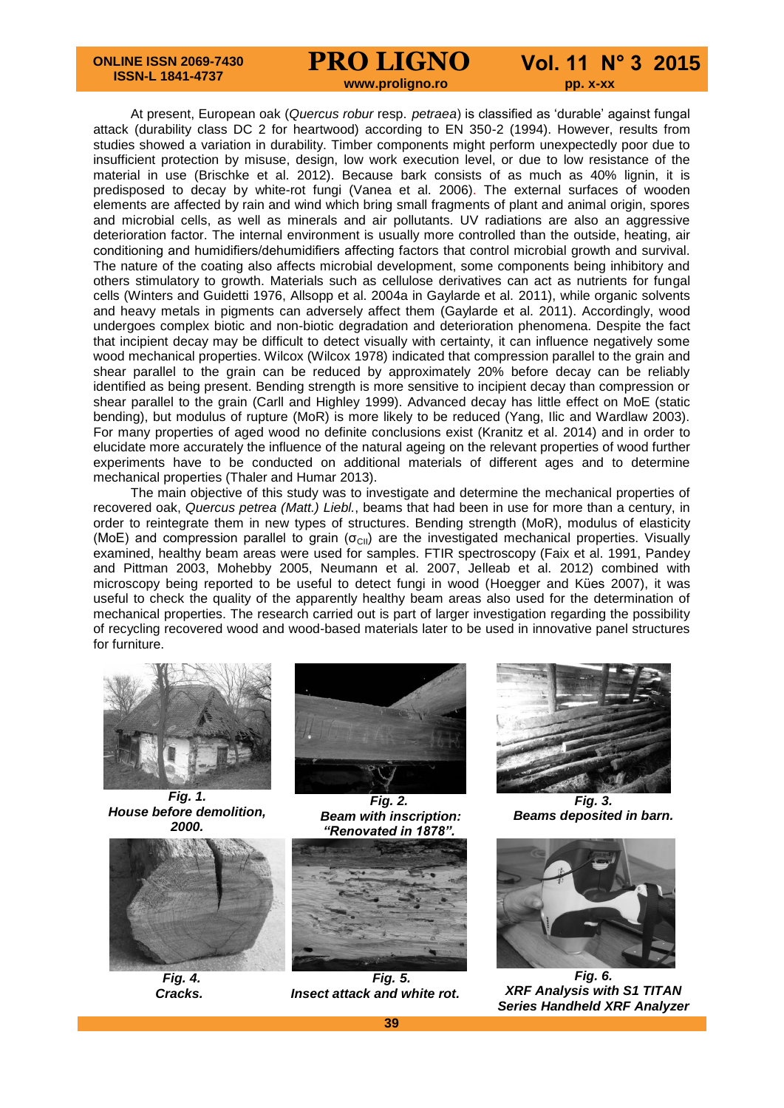#### **ONLINE ISSN 2069-7430 ISSN-L 1841-4737**

# **PRO LIGNO Vol. 11 N° 3 2015**

*<u>www.proligno.ro pp. x-xx*</u>

At present, European oak (*Quercus robur* resp. *petraea*) is classified as 'durable' against fungal attack (durability class DC 2 for heartwood) according to EN 350-2 (1994). However, results from studies showed a variation in durability. Timber components might perform unexpectedly poor due to insufficient protection by misuse, design, low work execution level, or due to low resistance of the material in use (Brischke et al. 2012). Because bark consists of as much as 40% lignin, it is predisposed to decay by white-rot fungi (Vanea et al. 2006). The external surfaces of wooden elements are affected by rain and wind which bring small fragments of plant and animal origin, spores and microbial cells, as well as minerals and air pollutants. UV radiations are also an aggressive deterioration factor. The internal environment is usually more controlled than the outside, heating, air conditioning and humidifiers/dehumidifiers affecting factors that control microbial growth and survival. The nature of the coating also affects microbial development, some components being inhibitory and others stimulatory to growth. Materials such as cellulose derivatives can act as nutrients for fungal cells (Winters and Guidetti 1976, Allsopp et al. 2004a in Gaylarde et al. 2011), while organic solvents and heavy metals in pigments can adversely affect them (Gaylarde et al. 2011). Accordingly, wood undergoes complex biotic and non-biotic degradation and deterioration phenomena. Despite the fact that incipient decay may be difficult to detect visually with certainty, it can influence negatively some wood mechanical properties. Wilcox (Wilcox 1978) indicated that compression parallel to the grain and shear parallel to the grain can be reduced by approximately 20% before decay can be reliably identified as being present. Bending strength is more sensitive to incipient decay than compression or shear parallel to the grain (Carll and Highley 1999). Advanced decay has little effect on MoE (static bending), but modulus of rupture (MoR) is more likely to be reduced (Yang, Ilic and Wardlaw 2003). For many properties of aged wood no definite conclusions exist (Kranitz et al. 2014) and in order to elucidate more accurately the influence of the natural ageing on the relevant properties of wood further experiments have to be conducted on additional materials of different ages and to determine mechanical properties (Thaler and Humar 2013).

The main objective of this study was to investigate and determine the mechanical properties of recovered oak, *Quercus petrea (Matt.) Liebl.*, beams that had been in use for more than a century, in order to reintegrate them in new types of structures. Bending strength (MoR), modulus of elasticity (MoE) and compression parallel to grain ( $\sigma_{\text{CII}}$ ) are the investigated mechanical properties. Visually examined, healthy beam areas were used for samples. FTIR spectroscopy (Faix et al. 1991, Pandey and Pittman 2003, Mohebby 2005, Neumann et al. 2007, Jelleab et al. 2012) combined with microscopy being reported to be useful to detect fungi in wood (Hoegger and Kües 2007), it was useful to check the quality of the apparently healthy beam areas also used for the determination of mechanical properties. The research carried out is part of larger investigation regarding the possibility of recycling recovered wood and wood-based materials later to be used in innovative panel structures for furniture.



*Fig. 1. House before demolition, 2000.*





*Fig. 2. Beam with inscription: "Renovated in 1878".*



 *Fig. 4. Fig. 5. Cracks. Insect attack and white rot.*



*Fig. 3. Beams deposited in barn.*



*Fig. 6. XRF Analysis with S1 TITAN Series Handheld XRF Analyzer*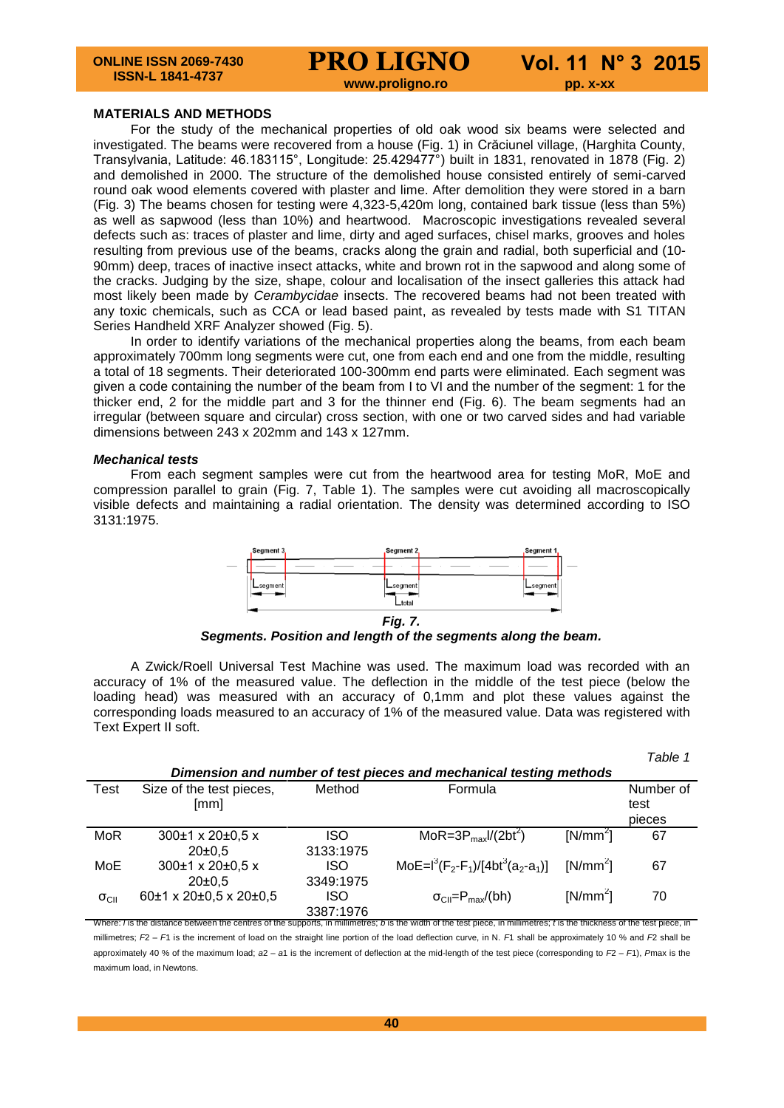*<u>www.proligno.ro pp. x-xx*</u>

#### **MATERIALS AND METHODS**

For the study of the mechanical properties of old oak wood six beams were selected and investigated. The beams were recovered from a house (Fig. 1) in Crăciunel village, (Harghita County, Transylvania, Latitude: 46.183115°, Longitude: 25.429477°) built in 1831, renovated in 1878 (Fig. 2) and demolished in 2000. The structure of the demolished house consisted entirely of semi-carved round oak wood elements covered with plaster and lime. After demolition they were stored in a barn (Fig. 3) The beams chosen for testing were 4,323-5,420m long, contained bark tissue (less than 5%) as well as sapwood (less than 10%) and heartwood. Macroscopic investigations revealed several defects such as: traces of plaster and lime, dirty and aged surfaces, chisel marks, grooves and holes resulting from previous use of the beams, cracks along the grain and radial, both superficial and (10- 90mm) deep, traces of inactive insect attacks, white and brown rot in the sapwood and along some of the cracks. Judging by the size, shape, colour and localisation of the insect galleries this attack had most likely been made by *Cerambycidae* insects. The recovered beams had not been treated with any toxic chemicals, such as CCA or lead based paint, as revealed by tests made with S1 TITAN Series Handheld XRF Analyzer showed (Fig. 5).

In order to identify variations of the mechanical properties along the beams, from each beam approximately 700mm long segments were cut, one from each end and one from the middle, resulting a total of 18 segments. Their deteriorated 100-300mm end parts were eliminated. Each segment was given a code containing the number of the beam from I to VI and the number of the segment: 1 for the thicker end, 2 for the middle part and 3 for the thinner end (Fig. 6). The beam segments had an irregular (between square and circular) cross section, with one or two carved sides and had variable dimensions between 243 x 202mm and 143 x 127mm.

#### *Mechanical tests*

From each segment samples were cut from the heartwood area for testing MoR, MoE and compression parallel to grain (Fig. 7, Table 1). The samples were cut avoiding all macroscopically visible defects and maintaining a radial orientation. The density was determined according to ISO 3131:1975.



*Segments. Position and length of the segments along the beam.*

A Zwick/Roell Universal Test Machine was used. The maximum load was recorded with an accuracy of 1% of the measured value. The deflection in the middle of the test piece (below the loading head) was measured with an accuracy of 0,1mm and plot these values against the corresponding loads measured to an accuracy of 1% of the measured value. Data was registered with Text Expert II soft.

|                                                                    |                                  |            |                                                                                                                                                                          |            | Table 1           |
|--------------------------------------------------------------------|----------------------------------|------------|--------------------------------------------------------------------------------------------------------------------------------------------------------------------------|------------|-------------------|
| Dimension and number of test pieces and mechanical testing methods |                                  |            |                                                                                                                                                                          |            |                   |
| Test                                                               | Size of the test pieces,<br>[mm] | Method     | Formula                                                                                                                                                                  |            | Number of<br>test |
|                                                                    |                                  |            |                                                                                                                                                                          |            | pieces            |
| <b>MoR</b>                                                         | $300\pm1 \times 20\pm0.5 \times$ | <b>ISO</b> | MoR=3P <sub>max</sub> $1/(2bt^2)$                                                                                                                                        | $[N/mm^2]$ | 67                |
|                                                                    | 20±0.5                           | 3133:1975  |                                                                                                                                                                          |            |                   |
| MoE                                                                | $300\pm1 \times 20\pm0.5 \times$ | <b>ISO</b> | MoE= $I^3(F_2-F_1)/[4bt^3(a_2-a_1)]$                                                                                                                                     | $[N/mm^2]$ | 67                |
|                                                                    | 20±0.5                           | 3349:1975  |                                                                                                                                                                          |            |                   |
| $\sigma_{\text{CII}}$                                              | 60±1 x 20±0,5 x 20±0,5           | <b>ISO</b> | $\sigma_{\text{Cl}} = P_{\text{max}}/(bh)$                                                                                                                               | $[N/mm^2]$ | 70                |
|                                                                    |                                  | 3387:1976  |                                                                                                                                                                          |            |                   |
|                                                                    |                                  |            | Where: I is the distance between the centres of the supports, in millimetres: b is the width of the test piece, in millimetres: b is the thickness of the test piece, in |            |                   |

millimetres; *F*2 – *F*1 is the increment of load on the straight line portion of the load deflection curve, in N. *F*1 shall be approximately 10 % and *F*2 shall be approximately 40 % of the maximum load; *a*2 – *a*1 is the increment of deflection at the mid-length of the test piece (corresponding to *F*2 – *F*1), *P*max is the maximum load, in Newtons.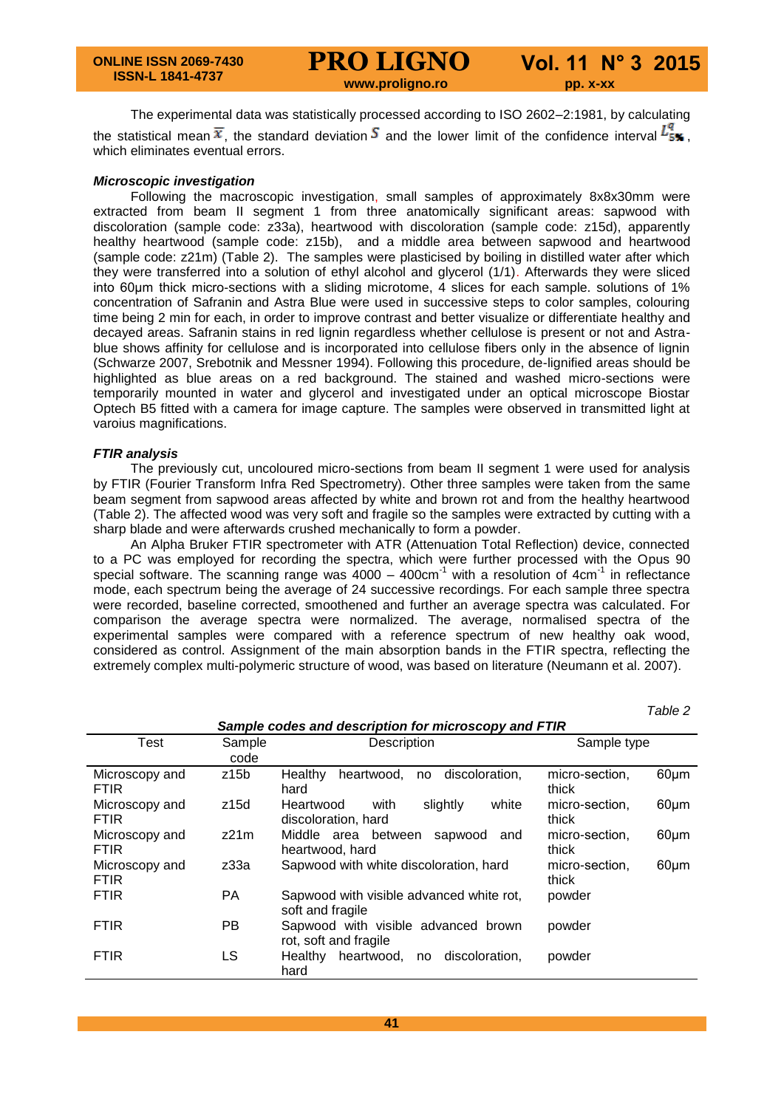**www.proligno.ro pp. x-xx**

The experimental data was statistically processed according to ISO 2602–2:1981, by calculating the statistical mean  $\bar{x}$ , the standard deviation  $S$  and the lower limit of the confidence interval  $L_{5\%}$ , which eliminates eventual errors.

#### *Microscopic investigation*

Following the macroscopic investigation, small samples of approximately 8x8x30mm were extracted from beam II segment 1 from three anatomically significant areas: sapwood with discoloration (sample code: z33a), heartwood with discoloration (sample code: z15d), apparently healthy heartwood (sample code: z15b), and a middle area between sapwood and heartwood (sample code: z21m) (Table 2). The samples were plasticised by boiling in distilled water after which they were transferred into a solution of ethyl alcohol and glycerol (1/1). Afterwards they were sliced into 60μm thick micro-sections with a sliding microtome, 4 slices for each sample. solutions of 1% concentration of Safranin and Astra Blue were used in successive steps to color samples, colouring time being 2 min for each, in order to improve contrast and better visualize or differentiate healthy and decayed areas. Safranin stains in red lignin regardless whether cellulose is present or not and Astrablue shows affinity for cellulose and is incorporated into cellulose fibers only in the absence of lignin (Schwarze 2007, Srebotnik and Messner 1994). Following this procedure, de-lignified areas should be highlighted as blue areas on a red background. The stained and washed micro-sections were temporarily mounted in water and glycerol and investigated under an optical microscope Biostar Optech B5 fitted with a camera for image capture. The samples were observed in transmitted light at varoius magnifications.

#### *FTIR analysis*

The previously cut, uncoloured micro-sections from beam II segment 1 were used for analysis by FTIR (Fourier Transform Infra Red Spectrometry). Other three samples were taken from the same beam segment from sapwood areas affected by white and brown rot and from the healthy heartwood (Table 2). The affected wood was very soft and fragile so the samples were extracted by cutting with a sharp blade and were afterwards crushed mechanically to form a powder.

An Alpha Bruker FTIR spectrometer with ATR (Attenuation Total Reflection) device, connected to a PC was employed for recording the spectra, which were further processed with the Opus 90 special software. The scanning range was  $4000 - 400$ cm<sup>-1</sup> with a resolution of  $4$ cm<sup>-1</sup> in reflectance mode, each spectrum being the average of 24 successive recordings. For each sample three spectra were recorded, baseline corrected, smoothened and further an average spectra was calculated. For comparison the average spectra were normalized. The average, normalised spectra of the experimental samples were compared with a reference spectrum of new healthy oak wood, considered as control. Assignment of the main absorption bands in the FTIR spectra, reflecting the extremely complex multi-polymeric structure of wood, was based on literature (Neumann et al. 2007).

*Table 2*

| Sample codes and description for microscopy and FTIR |           |                                            |                              |  |  |
|------------------------------------------------------|-----------|--------------------------------------------|------------------------------|--|--|
| <b>Test</b>                                          | Sample    | Description                                | Sample type                  |  |  |
|                                                      | code      |                                            |                              |  |  |
| Microscopy and                                       | z15b      | no discoloration,<br>Healthy<br>heartwood, | 60µm<br>micro-section,       |  |  |
| <b>FTIR</b>                                          |           | hard                                       | thick                        |  |  |
| Microscopy and                                       | z15d      | white<br>Heartwood<br>slightly<br>with     | 60µm<br>micro-section,       |  |  |
| <b>FTIR</b>                                          |           | discoloration, hard                        | thick                        |  |  |
| Microscopy and                                       | z21m      | Middle area between sapwood<br>and         | $60 \mu m$<br>micro-section, |  |  |
| <b>FTIR</b>                                          |           | heartwood, hard                            | thick                        |  |  |
| Microscopy and                                       | z33a      | Sapwood with white discoloration, hard     | $60 \mu m$<br>micro-section, |  |  |
| <b>FTIR</b>                                          |           |                                            | thick                        |  |  |
| <b>FTIR</b>                                          | <b>PA</b> | Sapwood with visible advanced white rot,   | powder                       |  |  |
|                                                      |           | soft and fragile                           |                              |  |  |
| <b>FTIR</b>                                          | <b>PB</b> | Sapwood with visible advanced brown        | powder                       |  |  |
|                                                      |           | rot, soft and fragile                      |                              |  |  |
| <b>FTIR</b>                                          | LS        | Healthy heartwood,<br>no discoloration,    | powder                       |  |  |
|                                                      |           | hard                                       |                              |  |  |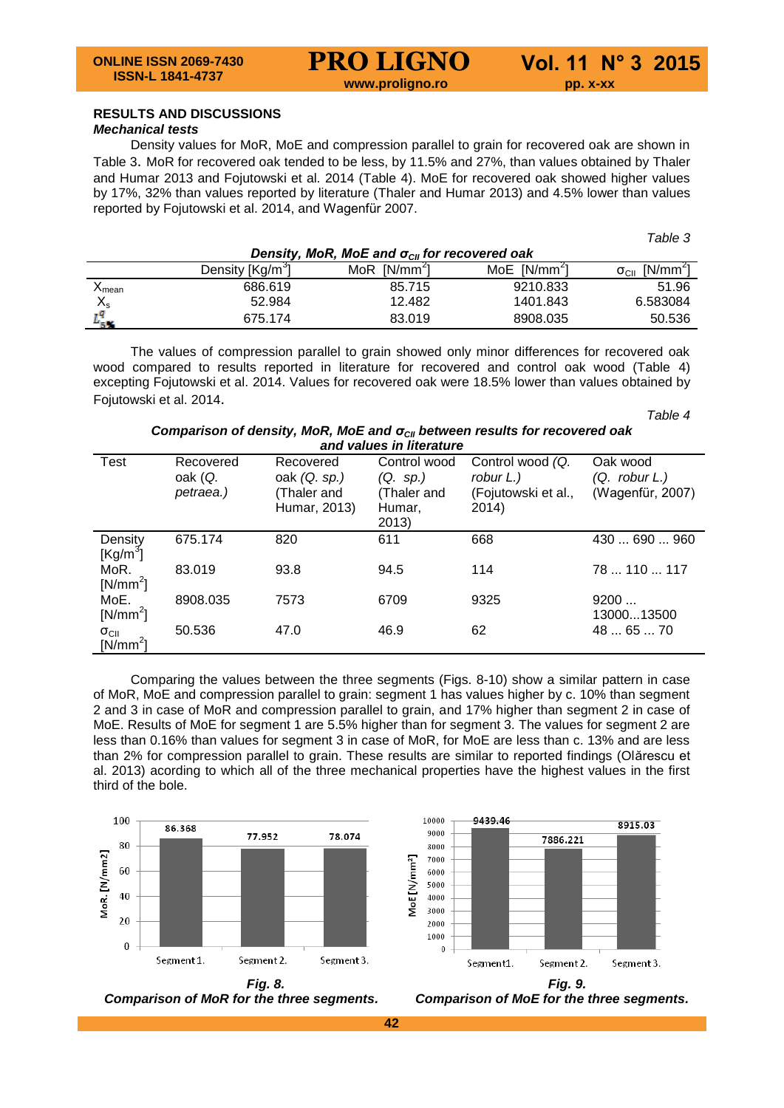**www.proligno.ro pp. x-xx**

# **RESULTS AND DISCUSSIONS**

# *Mechanical tests*

Density values for MoR, MoE and compression parallel to grain for recovered oak are shown in Table 3. MoR for recovered oak tended to be less, by 11.5% and 27%, than values obtained by Thaler and Humar 2013 and Fojutowski et al. 2014 (Table 4). MoE for recovered oak showed higher values by 17%, 32% than values reported by literature (Thaler and Humar 2013) and 4.5% lower than values reported by Fojutowski et al. 2014, and Wagenfür 2007.

| Density, MoR, MoE and $\sigma_{\text{CH}}$ for recovered oak |                              |                   |                          |                                               |  |  |
|--------------------------------------------------------------|------------------------------|-------------------|--------------------------|-----------------------------------------------|--|--|
|                                                              | Density [Kg/m <sup>3</sup> ] | $[N/mm^2]$<br>MoR | MoE [N/mm <sup>2</sup> ] | [N/mm <sup>2</sup> ]<br>$\sigma_{\text{CII}}$ |  |  |
| $\boldsymbol{\upalpha}$ mean                                 | 686.619                      | 85.715            | 9210.833                 | 51.96                                         |  |  |
| $\mathsf{X}_\mathsf{s}$                                      | 52.984                       | 12.482            | 1401.843                 | 6.583084                                      |  |  |
|                                                              | 675.174                      | 83.019            | 8908.035                 | 50.536                                        |  |  |

The values of compression parallel to grain showed only minor differences for recovered oak wood compared to results reported in literature for recovered and control oak wood (Table 4) excepting Fojutowski et al. 2014. Values for recovered oak were 18.5% lower than values obtained by Fojutowski et al. 2014.

*Table 4*

8915.03

*Table 3*

*Comparison of density, MoR, MoE and σCII between results for recovered oak and values in literature*

| 8119 values III IItelatule          |           |                |              |                     |                    |  |  |
|-------------------------------------|-----------|----------------|--------------|---------------------|--------------------|--|--|
| Test                                | Recovered | Recovered      | Control wood | Control wood (Q.    | Oak wood           |  |  |
|                                     | oak (Q.   | oak $(Q. sp.)$ | (Q. sp.)     | robur L.)           | (Q. robur L.)      |  |  |
|                                     | petraea.) | (Thaler and    | (Thaler and  | (Fojutowski et al., | (Wagenfür, 2007)   |  |  |
|                                     |           | Humar, 2013)   | Humar,       | 2014)               |                    |  |  |
|                                     |           |                | 2013)        |                     |                    |  |  |
| Density<br>$[Kg/m^3]$               | 675.174   | 820            | 611          | 668                 | 430690960          |  |  |
| MoR.<br>$[N/mm^2]$                  | 83.019    | 93.8           | 94.5         | 114                 | 78110117           |  |  |
| MoE.<br>$[N/mm^2]$                  | 8908.035  | 7573           | 6709         | 9325                | 9200<br>1300013500 |  |  |
| $\sigma_{\text{CII}}$<br>$[N/mm^2]$ | 50.536    | 47.0           | 46.9         | 62                  | 48  65  70         |  |  |

Comparing the values between the three segments (Figs. 8-10) show a similar pattern in case of MoR, MoE and compression parallel to grain: segment 1 has values higher by c. 10% than segment 2 and 3 in case of MoR and compression parallel to grain, and 17% higher than segment 2 in case of MoE. Results of MoE for segment 1 are 5.5% higher than for segment 3. The values for segment 2 are less than 0.16% than values for segment 3 in case of MoR, for MoE are less than c. 13% and are less than 2% for compression parallel to grain. These results are similar to reported findings (Olărescu et al. 2013) acording to which all of the three mechanical properties have the highest values in the first third of the bole.

10000

9439.46



9000 7886.221 8000 7000 MoE [N/mm<sup>2</sup>] 6000 5000 4000 3000 2000 1000  $\theta$ Segment1. Segment 2. Segment 3.

 *Comparison of MoR for the three segments. Comparison of MoE for the three segments.*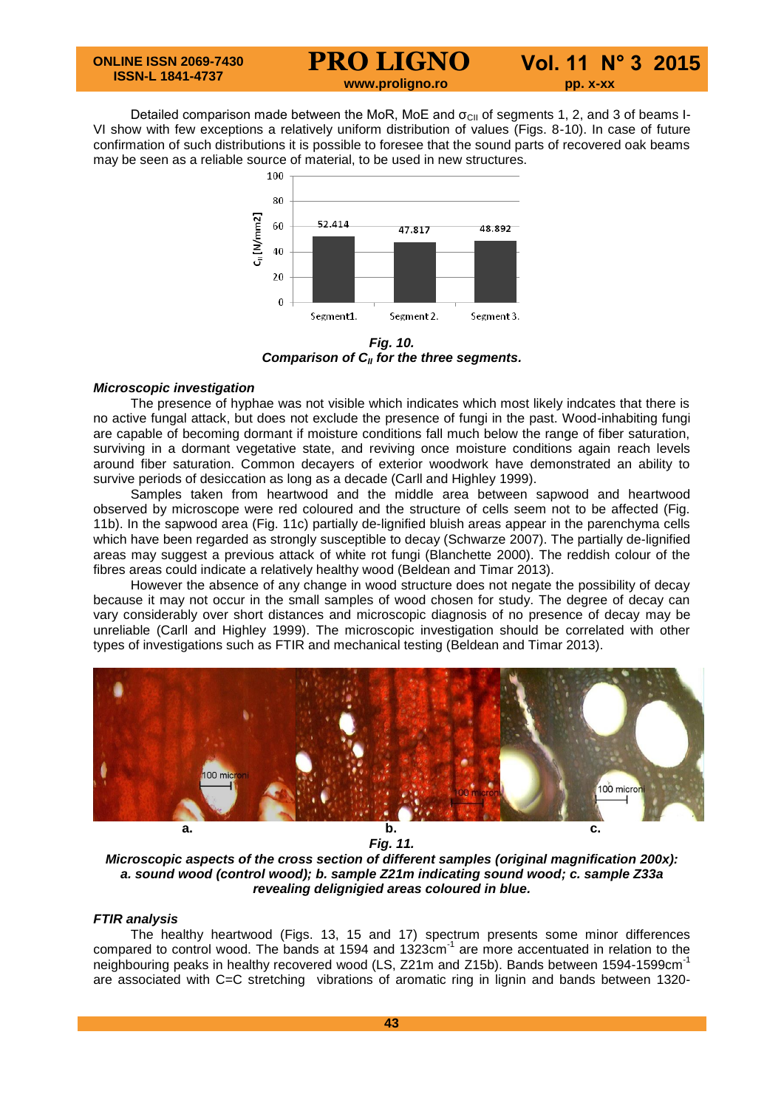**www.proligno.ro pp. x-xx**

Detailed comparison made between the MoR, MoE and  $\sigma_{\text{Cl}}$  of segments 1, 2, and 3 of beams I-VI show with few exceptions a relatively uniform distribution of values (Figs. 8-10). In case of future confirmation of such distributions it is possible to foresee that the sound parts of recovered oak beams may be seen as a reliable source of material, to be used in new structures.<br> $\frac{100 - 100}{2}$ 



*Fig. 10. Comparison of CII for the three segments.*

# *Microscopic investigation*

The presence of hyphae was not visible which indicates which most likely indcates that there is no active fungal attack, but does not exclude the presence of fungi in the past. Wood-inhabiting fungi are capable of becoming dormant if moisture conditions fall much below the range of fiber saturation, surviving in a dormant vegetative state, and reviving once moisture conditions again reach levels around fiber saturation. Common decayers of exterior woodwork have demonstrated an ability to survive periods of desiccation as long as a decade (Carll and Highley 1999).

Samples taken from heartwood and the middle area between sapwood and heartwood observed by microscope were red coloured and the structure of cells seem not to be affected (Fig. 11b). In the sapwood area (Fig. 11c) partially de-lignified bluish areas appear in the parenchyma cells which have been regarded as strongly susceptible to decay (Schwarze 2007). The partially de-lignified areas may suggest a previous attack of white rot fungi (Blanchette 2000). The reddish colour of the fibres areas could indicate a relatively healthy wood (Beldean and Timar 2013).

However the absence of any change in wood structure does not negate the possibility of decay because it may not occur in the small samples of wood chosen for study. The degree of decay can vary considerably over short distances and microscopic diagnosis of no presence of decay may be unreliable (Carll and Highley 1999). The microscopic investigation should be correlated with other types of investigations such as FTIR and mechanical testing (Beldean and Timar 2013).



*Fig. 11.*

*Microscopic aspects of the cross section of different samples (original magnification 200x): a. sound wood (control wood); b. sample Z21m indicating sound wood; c. sample Z33a revealing delignigied areas coloured in blue.*

# *FTIR analysis*

The healthy heartwood (Figs. 13, 15 and 17) spectrum presents some minor differences compared to control wood. The bands at 1594 and 1323cm<sup>-1</sup> are more accentuated in relation to the neighbouring peaks in healthy recovered wood (LS, Z21m and Z15b). Bands between 1594-1599cm<sup>-1</sup> are associated with C=C stretching vibrations of aromatic ring in lignin and bands between 1320-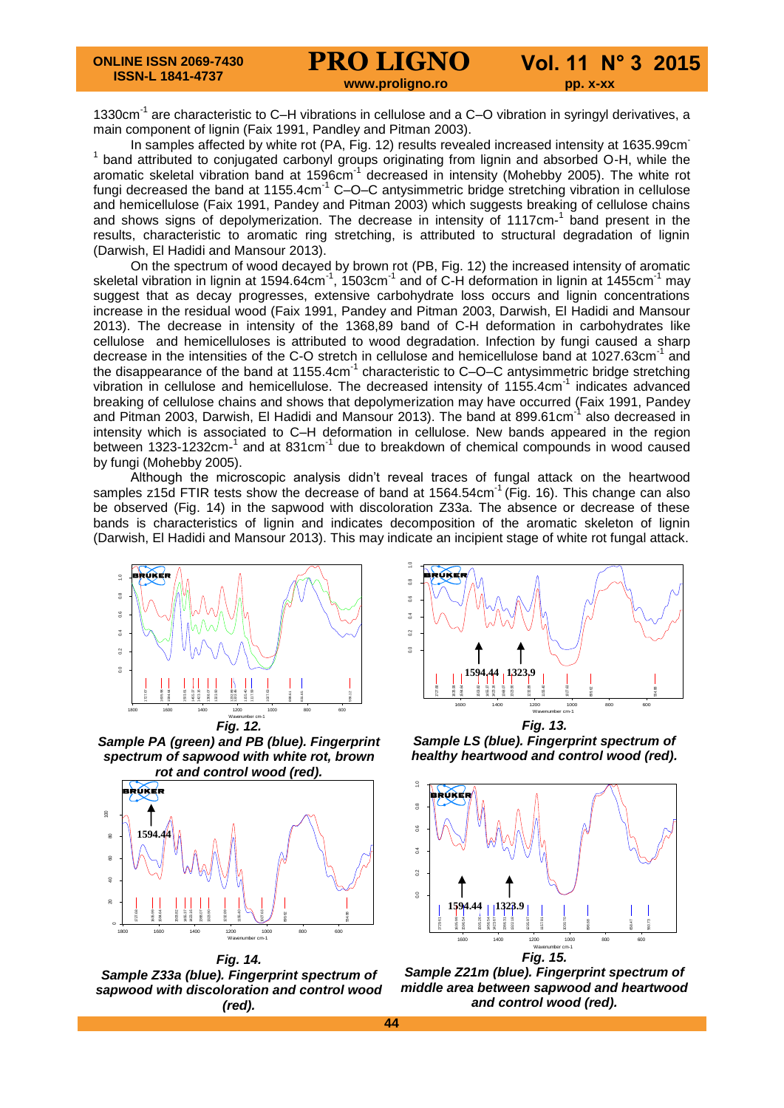**www.proligno.ro pp. x-xx** 

1330cm<sup>-1</sup> are characteristic to C-H vibrations in cellulose and a C-O vibration in syringyl derivatives, a main component of lignin (Faix 1991, Pandley and Pitman 2003).

In samples affected by white rot (PA, Fig. 12) results revealed increased intensity at 1635.99cm <sup>1</sup> band attributed to conjugated carbonyl groups originating from lignin and absorbed O-H, while the aromatic skeletal vibration band at 1596cm<sup>-1</sup> decreased in intensity (Mohebby 2005). The white rot fungi decreased the band at 1155.4cm $^{-1}$  C–O–C antysimmetric bridge stretching vibration in cellulose and hemicellulose (Faix 1991, Pandey and Pitman 2003) which suggests breaking of cellulose chains and shows signs of depolymerization. The decrease in intensity of 1117cm-1 band present in the results, characteristic to aromatic ring stretching, is attributed to structural degradation of lignin (Darwish, El Hadidi and Mansour 2013).

On the spectrum of wood decayed by brown rot (PB, Fig. 12) the increased intensity of aromatic skeletal vibration in lignin at 1594.64cm $^{-1}$ , 1503cm $^{-1}$  and of C-H deformation in lignin at 1455cm $^{-1}$  may suggest that as decay progresses, extensive carbohydrate loss occurs and lignin concentrations increase in the residual wood (Faix 1991, Pandey and Pitman 2003, Darwish, El Hadidi and Mansour 2013). The decrease in intensity of the 1368,89 band of C-H deformation in carbohydrates like cellulose and hemicelluloses is attributed to wood degradation. Infection by fungi caused a sharp decrease in the intensities of the C-O stretch in cellulose and hemicellulose band at 1027.63cm<sup>-1</sup> and the disappearance of the band at 1155.4cm<sup>-1</sup> characteristic to C–O–C antysimmetric bridge stretching vibration in cellulose and hemicellulose. The decreased intensity of 1155.4cm<sup>-1</sup> indicates advanced breaking of cellulose chains and shows that depolymerization may have occurred (Faix 1991, Pandey and Pitman 2003, Darwish, El Hadidi and Mansour 2013). The band at 899.61cm<sup>-1</sup> also decreased in intensity which is associated to C–H deformation in cellulose. New bands appeared in the region between 1323-1232cm-<sup>1</sup> and at 831cm<sup>-1</sup> due to breakdown of chemical compounds in wood caused by fungi (Mohebby 2005).

Although the microscopic analysis didn't reveal traces of fungal attack on the heartwood samples z15d FTIR tests show the decrease of band at  $1564.54 \text{cm}^{-1}$  (Fig. 16). This change can also be observed (Fig. 14) in the sapwood with discoloration Z33a. The absence or decrease of these bands is characteristics of lignin and indicates decomposition of the aromatic skeleton of lignin (Darwish, El Hadidi and Mansour 2013). This may indicate an incipient stage of white rot fungal attack.



Sample PA (green) and PB (blue). Fingerprint **Page 1/1** *spectrum of sapwood with white rot, brown rot and control wood (red).*



**Fig. 14.** Sample Z33a (blue). Fingerprint spectrum of *sapwood with discoloration and control wood (red).*



 E:\Andreea Deak\prelucrate\St-C-0-1-blc-sm-N.0 Oak -control 0 Bruker -ATR *Fig. 13.* **Sample LS (blue). Fingerprint spectrum of** *healthy heartwood and control wood (red).*



Sample Z21m (blue). Fingerprint spectrum of **Page 1/1** *middle area between sapwood and heartwood and control wood (red).*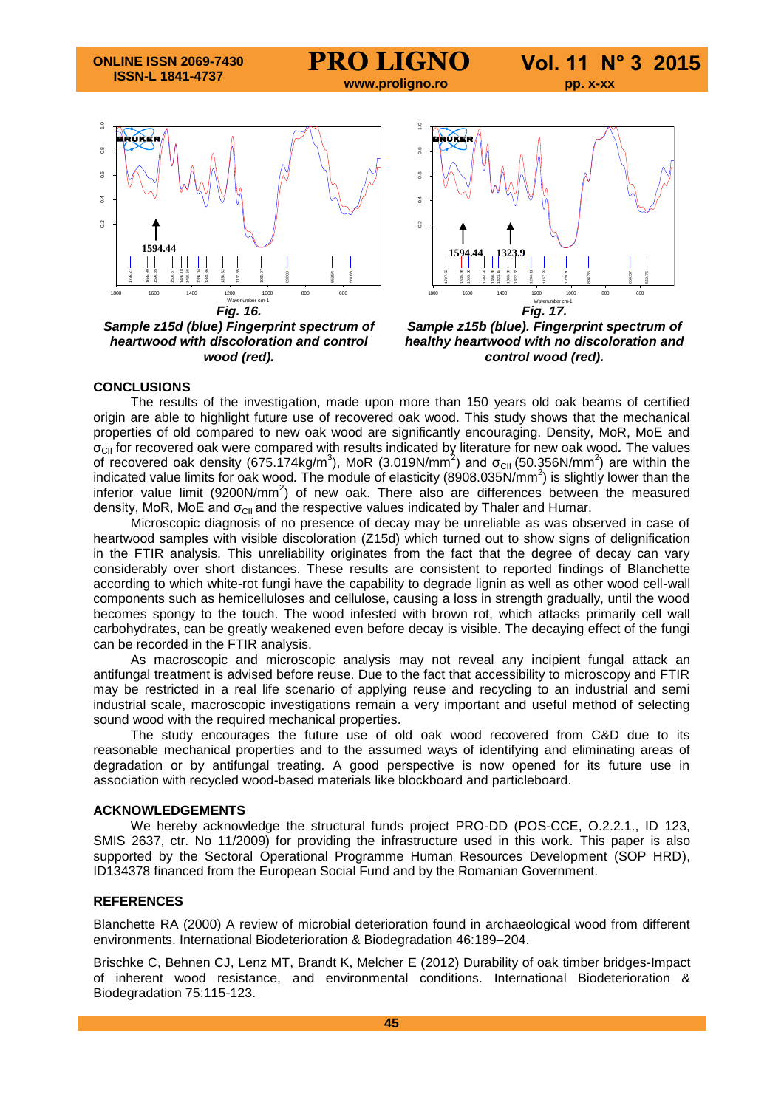**ONLINE ISSN 2069-7430 ISSN-L 1841-4737**

# **PRO LIGNO Vol. 11 N° 3 2015**

 **www.proligno.ro pp. x-xx**

 $\frac{1}{2}$ <br>  $\frac{1}{2}$ <br>  $\frac{1}{2}$ <br>  $\frac{1}{2}$ <br>  $\frac{1}{2}$ <br>  $\frac{1}{2}$ <br>  $\frac{1}{2}$ <br>  $\frac{1}{2}$ <br>  $\frac{1}{2}$ <br>  $\frac{1}{2}$ <br>  $\frac{1}{2}$ <br>  $\frac{1}{2}$ <br>  $\frac{1}{2}$ <br>  $\frac{1}{2}$ <br>  $\frac{1}{2}$ <br>  $\frac{1}{2}$ <br>  $\frac{1}{2}$ <br>  $\frac{1}{2}$ <br>  $\frac{1}{2}$ <br>  $\frac{1}{2}$ <br> 1800 1600 1400 1200 1000 800 600  $\begin{picture}(180,100) \put(10,10){\line(1,0){150}} \put(10,10){\line(1,0){150}} \put(10,10){\line(1,0){150}} \put(10,10){\line(1,0){150}} \put(10,10){\line(1,0){150}} \put(10,10){\line(1,0){150}} \put(10,10){\line(1,0){150}} \put(10,10){\line(1,0){150}} \put(10,10){\line(1,0){150}} \put(10,10){\line(1,0){150}} \put(10,1$ *Fig. 16.* **1594.44 1594.44 1323.9**

 $\mathcal{L}$  . Or  $\mathcal{L}$ **Sample z15d (blue) Fingerprint spectrum of Page 1/1** *heartwood with discoloration and control wood (red).*



 $\mathcal{L}=\mathcal{L}^2-\mathcal{L}^2$  deak of  $\mathcal{L}^2-\mathcal{L}^2$ Sample z15b (blue). Fingerprint spectrum of **Page 1/1** *healthy heartwood with no discoloration and control wood (red).*

# **CONCLUSIONS**

The results of the investigation, made upon more than 150 years old oak beams of certified origin are able to highlight future use of recovered oak wood. This study shows that the mechanical properties of old compared to new oak wood are significantly encouraging. Density, MoR, MoE and σCII for recovered oak were compared with results indicated by literature for new oak wood*.* The values of recovered oak density (675.174kg/m<sup>3</sup>), MoR (3.019N/mm<sup>2</sup>) and σ<sub>CII</sub> (50.356N/mm<sup>2</sup>) are within the indicated value limits for oak wood*.* The module of elasticity (8908.035N/mm<sup>2</sup> ) is slightly lower than the inferior value limit (9200N/mm<sup>2</sup>) of new oak. There also are differences between the measured density, MoR, MoE and  $\sigma_{\text{Cl}}$  and the respective values indicated by Thaler and Humar.

Microscopic diagnosis of no presence of decay may be unreliable as was observed in case of heartwood samples with visible discoloration (Z15d) which turned out to show signs of delignification in the FTIR analysis. This unreliability originates from the fact that the degree of decay can vary considerably over short distances. These results are consistent to reported findings of Blanchette according to which white-rot fungi have the capability to degrade lignin as well as other wood cell-wall components such as hemicelluloses and cellulose, causing a loss in strength gradually, until the wood becomes spongy to the touch. The wood infested with brown rot, which attacks primarily cell wall carbohydrates, can be greatly weakened even before decay is visible. The decaying effect of the fungi can be recorded in the FTIR analysis.

As macroscopic and microscopic analysis may not reveal any incipient fungal attack an antifungal treatment is advised before reuse. Due to the fact that accessibility to microscopy and FTIR may be restricted in a real life scenario of applying reuse and recycling to an industrial and semi industrial scale, macroscopic investigations remain a very important and useful method of selecting sound wood with the required mechanical properties.

The study encourages the future use of old oak wood recovered from C&D due to its reasonable mechanical properties and to the assumed ways of identifying and eliminating areas of degradation or by antifungal treating. A good perspective is now opened for its future use in association with recycled wood-based materials like blockboard and particleboard.

# **ACKNOWLEDGEMENTS**

We hereby acknowledge the structural funds project PRO-DD (POS-CCE, O.2.2.1., ID 123, SMIS 2637, ctr. No 11/2009) for providing the infrastructure used in this work. This paper is also supported by the Sectoral Operational Programme Human Resources Development (SOP HRD), ID134378 financed from the European Social Fund and by the Romanian Government.

# **REFERENCES**

Blanchette RA (2000) A review of microbial deterioration found in archaeological wood from different environments. International Biodeterioration & Biodegradation 46:189–204.

Brischke C, Behnen CJ, Lenz MT, Brandt K, Melcher E (2012) Durability of oak timber bridges-Impact of inherent wood resistance, and environmental conditions. International Biodeterioration & Biodegradation 75:115-123.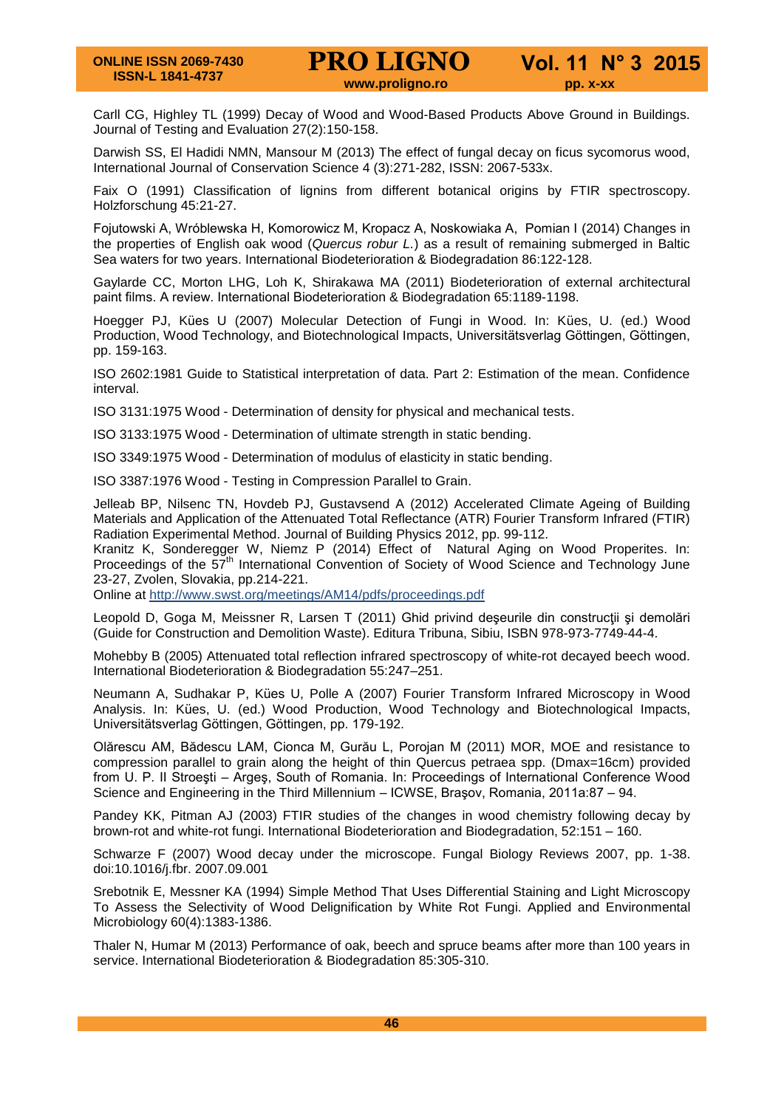Carll CG, Highley TL (1999) Decay of Wood and Wood-Based Products Above Ground in Buildings. Journal of Testing and Evaluation 27(2):150-158.

Darwish SS, El Hadidi NMN, Mansour M (2013) The effect of fungal decay on ficus sycomorus wood, International Journal of Conservation Science 4 (3):271-282, ISSN: 2067-533x.

Faix O (1991) Classification of lignins from different botanical origins by FTIR spectroscopy. Holzforschung 45:21-27.

Fojutowski A, Wróblewska H, Komorowicz M, Kropacz A, Noskowiaka A, Pomian I (2014) Changes in the properties of English oak wood (*Quercus robur L.*) as a result of remaining submerged in Baltic Sea waters for two years. International Biodeterioration & Biodegradation 86:122-128.

Gaylarde CC, Morton LHG, Loh K, Shirakawa MA (2011) Biodeterioration of external architectural paint films. A review. International Biodeterioration & Biodegradation 65:1189-1198.

Hoegger PJ, Kües U (2007) Molecular Detection of Fungi in Wood. In: Kües, U. (ed.) Wood Production, Wood Technology, and Biotechnological Impacts, Universitätsverlag Göttingen, Göttingen, pp. 159-163.

ISO 2602:1981 Guide to Statistical interpretation of data. Part 2: Estimation of the mean. Confidence interval.

ISO 3131:1975 Wood - Determination of density for physical and mechanical tests.

ISO 3133:1975 Wood - Determination of ultimate strength in static bending.

ISO 3349:1975 Wood - Determination of modulus of elasticity in static bending.

ISO 3387:1976 Wood - Testing in Compression Parallel to Grain.

Jelleab BP, Nilsenc TN, Hovdeb PJ, Gustavsend A (2012) Accelerated Climate Ageing of Building Materials and Application of the Attenuated Total Reflectance (ATR) Fourier Transform Infrared (FTIR) Radiation Experimental Method. Journal of Building Physics 2012, pp. 99-112.

Kranitz K, Sonderegger W, Niemz P (2014) Effect of Natural Aging on Wood Properites. In: Proceedings of the 57<sup>th</sup> International Convention of Society of Wood Science and Technology June 23-27, Zvolen, Slovakia, pp.214-221.

Online at http://www.swst.org/meetings/AM14/pdfs/proceedings.pdf

Leopold D, Goga M, Meissner R, Larsen T (2011) Ghid privind deseurile din construcții și demolări (Guide for Construction and Demolition Waste). Editura Tribuna, Sibiu, ISBN 978-973-7749-44-4.

Mohebby B (2005) Attenuated total reflection infrared spectroscopy of white-rot decayed beech wood. International Biodeterioration & Biodegradation 55:247–251.

Neumann A, Sudhakar P, Kües U, Polle A (2007) Fourier Transform Infrared Microscopy in Wood Analysis. In: Kües, U. (ed.) Wood Production, Wood Technology and Biotechnological Impacts, Universitätsverlag Göttingen, Göttingen, pp. 179-192.

Olărescu AM, Bădescu LAM, Cionca M, Gurău L, Porojan M (2011) MOR, MOE and resistance to compression parallel to grain along the height of thin Quercus petraea spp. (Dmax=16cm) provided from U. P. II Stroeşti – Argeş, South of Romania. In: Proceedings of International Conference Wood Science and Engineering in the Third Millennium – ICWSE, Braşov, Romania, 2011a:87 – 94.

Pandey KK, Pitman AJ (2003) FTIR studies of the changes in wood chemistry following decay by brown-rot and white-rot fungi. International Biodeterioration and Biodegradation, 52:151 – 160.

Schwarze F (2007) Wood decay under the microscope. Fungal Biology Reviews 2007, pp. 1-38. doi:10.1016/j.fbr. 2007.09.001

Srebotnik E, Messner KA (1994) Simple Method That Uses Differential Staining and Light Microscopy To Assess the Selectivity of Wood Delignification by White Rot Fungi. Applied and Environmental Microbiology 60(4):1383-1386.

Thaler N, Humar M (2013) Performance of oak, beech and spruce beams after more than 100 years in service. International Biodeterioration & Biodegradation 85:305-310.